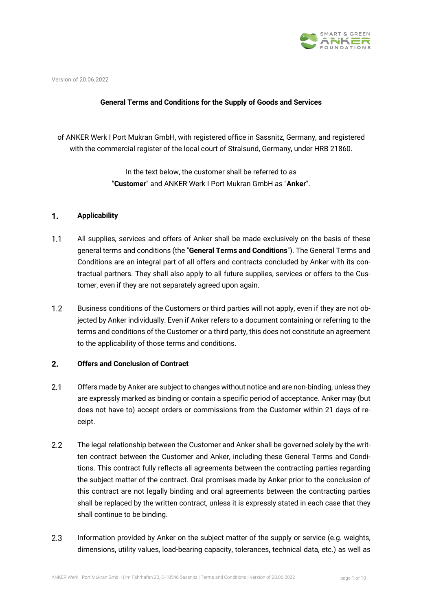

Version of 20.06.2022

# **General Terms and Conditions for the Supply of Goods and Services**

of ANKER Werk I Port Mukran GmbH, with registered office in Sassnitz, Germany, and registered with the commercial register of the local court of Stralsund, Germany, under HRB 21860.

> In the text below, the customer shall be referred to as "**Customer**" and ANKER Werk I Port Mukran GmbH as "**Anker**".

#### $1.$ **Applicability**

- $1.1$ All supplies, services and offers of Anker shall be made exclusively on the basis of these general terms and conditions (the "**General Terms and Conditions**"). The General Terms and Conditions are an integral part of all offers and contracts concluded by Anker with its contractual partners. They shall also apply to all future supplies, services or offers to the Customer, even if they are not separately agreed upon again.
- $1.2$ Business conditions of the Customers or third parties will not apply, even if they are not objected by Anker individually. Even if Anker refers to a document containing or referring to the terms and conditions of the Customer or a third party, this does not constitute an agreement to the applicability of those terms and conditions.

### $2.$ **Offers and Conclusion of Contract**

- $2.1$ Offers made by Anker are subject to changes without notice and are non-binding, unless they are expressly marked as binding or contain a specific period of acceptance. Anker may (but does not have to) accept orders or commissions from the Customer within 21 days of receipt.
- $2.2$ The legal relationship between the Customer and Anker shall be governed solely by the written contract between the Customer and Anker, including these General Terms and Conditions. This contract fully reflects all agreements between the contracting parties regarding the subject matter of the contract. Oral promises made by Anker prior to the conclusion of this contract are not legally binding and oral agreements between the contracting parties shall be replaced by the written contract, unless it is expressly stated in each case that they shall continue to be binding.
- $2.3$ Information provided by Anker on the subject matter of the supply or service (e.g. weights, dimensions, utility values, load-bearing capacity, tolerances, technical data, etc.) as well as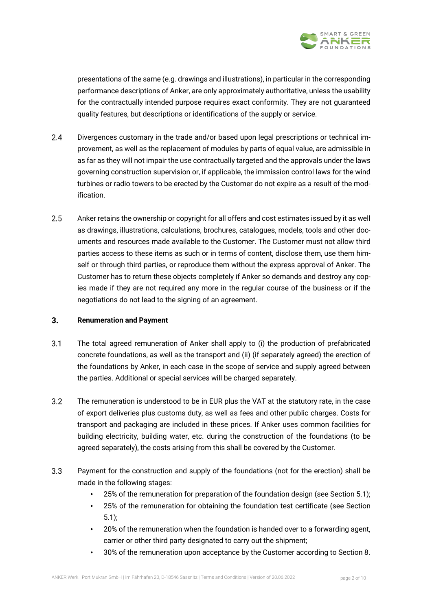

presentations of the same (e.g. drawings and illustrations), in particular in the corresponding performance descriptions of Anker, are only approximately authoritative, unless the usability for the contractually intended purpose requires exact conformity. They are not guaranteed quality features, but descriptions or identifications of the supply or service.

- $2.4$ Divergences customary in the trade and/or based upon legal prescriptions or technical improvement, as well as the replacement of modules by parts of equal value, are admissible in as far as they will not impair the use contractually targeted and the approvals under the laws governing construction supervision or, if applicable, the immission control laws for the wind turbines or radio towers to be erected by the Customer do not expire as a result of the modification.
- $2.5$ Anker retains the ownership or copyright for all offers and cost estimates issued by it as well as drawings, illustrations, calculations, brochures, catalogues, models, tools and other documents and resources made available to the Customer. The Customer must not allow third parties access to these items as such or in terms of content, disclose them, use them himself or through third parties, or reproduce them without the express approval of Anker. The Customer has to return these objects completely if Anker so demands and destroy any copies made if they are not required any more in the regular course of the business or if the negotiations do not lead to the signing of an agreement.

# $3.$ **Renumeration and Payment**

- $3.1$ The total agreed remuneration of Anker shall apply to (i) the production of prefabricated concrete foundations, as well as the transport and (ii) (if separately agreed) the erection of the foundations by Anker, in each case in the scope of service and supply agreed between the parties. Additional or special services will be charged separately.
- $3.2$ The remuneration is understood to be in EUR plus the VAT at the statutory rate, in the case of export deliveries plus customs duty, as well as fees and other public charges. Costs for transport and packaging are included in these prices. If Anker uses common facilities for building electricity, building water, etc. during the construction of the foundations (to be agreed separately), the costs arising from this shall be covered by the Customer.
- $3.3<sup>°</sup>$ Payment for the construction and supply of the foundations (not for the erection) shall be made in the following stages:
	- 25% of the remuneration for preparation of the foundation design (see Section 5.1);
	- 25% of the remuneration for obtaining the foundation test certificate (see Section 5.1);
	- 20% of the remuneration when the foundation is handed over to a forwarding agent, carrier or other third party designated to carry out the shipment;
	- 30% of the remuneration upon acceptance by the Customer according to Section 8.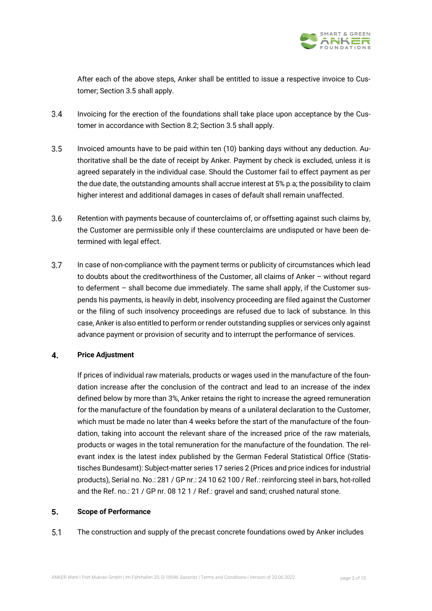

After each of the above steps, Anker shall be entitled to issue a respective invoice to Customer; Section 3.5 shall apply.

- $3.4$ Invoicing for the erection of the foundations shall take place upon acceptance by the Customer in accordance with Section 8.2; Section 3.5 shall apply.
- $3.5$ Invoiced amounts have to be paid within ten (10) banking days without any deduction. Authoritative shall be the date of receipt by Anker. Payment by check is excluded, unless it is agreed separately in the individual case. Should the Customer fail to effect payment as per the due date, the outstanding amounts shall accrue interest at 5% p.a; the possibility to claim higher interest and additional damages in cases of default shall remain unaffected.
- $3.6$ Retention with payments because of counterclaims of, or offsetting against such claims by, the Customer are permissible only if these counterclaims are undisputed or have been determined with legal effect.
- $3.7$ In case of non-compliance with the payment terms or publicity of circumstances which lead to doubts about the creditworthiness of the Customer, all claims of Anker – without regard to deferment – shall become due immediately. The same shall apply, if the Customer suspends his payments, is heavily in debt, insolvency proceeding are filed against the Customer or the filing of such insolvency proceedings are refused due to lack of substance. In this case, Anker is also entitled to perform or render outstanding supplies or services only against advance payment or provision of security and to interrupt the performance of services.

# $\overline{\mathbf{4}}$ . **Price Adjustment**

If prices of individual raw materials, products or wages used in the manufacture of the foundation increase after the conclusion of the contract and lead to an increase of the index defined below by more than 3%, Anker retains the right to increase the agreed remuneration for the manufacture of the foundation by means of a unilateral declaration to the Customer, which must be made no later than 4 weeks before the start of the manufacture of the foundation, taking into account the relevant share of the increased price of the raw materials, products or wages in the total remuneration for the manufacture of the foundation. The relevant index is the latest index published by the German Federal Statistical Office (Statistisches Bundesamt): Subject-matter series 17 series 2 (Prices and price indices for industrial products), Serial no. No.: 281 / GP nr.: 24 10 62 100 / Ref.: reinforcing steel in bars, hot-rolled and the Ref. no.: 21 / GP nr. 08 12 1 / Ref.: gravel and sand; crushed natural stone.

# 5. **Scope of Performance**

 $5.1$ The construction and supply of the precast concrete foundations owed by Anker includes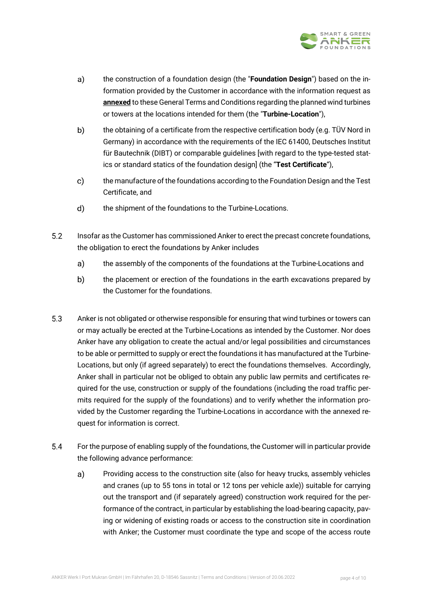

- a) the construction of a foundation design (the "**Foundation Design**") based on the information provided by the Customer in accordance with the information request as **annexed** to these General Terms and Conditions regarding the planned wind turbines or towers at the locations intended for them (the "**Turbine-Location**"),
- b) the obtaining of a certificate from the respective certification body (e.g. TÜV Nord in Germany) in accordance with the requirements of the IEC 61400, Deutsches Institut für Bautechnik (DIBT) or comparable guidelines [with regard to the type-tested statics or standard statics of the foundation design] (the "**Test Certificate**"),
- $c)$ the manufacture of the foundations according to the Foundation Design and the Test Certificate, and
- d) the shipment of the foundations to the Turbine-Locations.
- $5.2$ Insofar as the Customer has commissioned Anker to erect the precast concrete foundations, the obligation to erect the foundations by Anker includes
	- $a)$ the assembly of the components of the foundations at the Turbine-Locations and
	- b) the placement or erection of the foundations in the earth excavations prepared by the Customer for the foundations.
- $5.3$ Anker is not obligated or otherwise responsible for ensuring that wind turbines or towers can or may actually be erected at the Turbine-Locations as intended by the Customer. Nor does Anker have any obligation to create the actual and/or legal possibilities and circumstances to be able or permitted to supply or erect the foundations it has manufactured at the Turbine-Locations, but only (if agreed separately) to erect the foundations themselves. Accordingly, Anker shall in particular not be obliged to obtain any public law permits and certificates required for the use, construction or supply of the foundations (including the road traffic permits required for the supply of the foundations) and to verify whether the information provided by the Customer regarding the Turbine-Locations in accordance with the annexed request for information is correct.
- 5.4 For the purpose of enabling supply of the foundations, the Customer will in particular provide the following advance performance:
	- a) Providing access to the construction site (also for heavy trucks, assembly vehicles and cranes (up to 55 tons in total or 12 tons per vehicle axle)) suitable for carrying out the transport and (if separately agreed) construction work required for the performance of the contract, in particular by establishing the load-bearing capacity, paving or widening of existing roads or access to the construction site in coordination with Anker; the Customer must coordinate the type and scope of the access route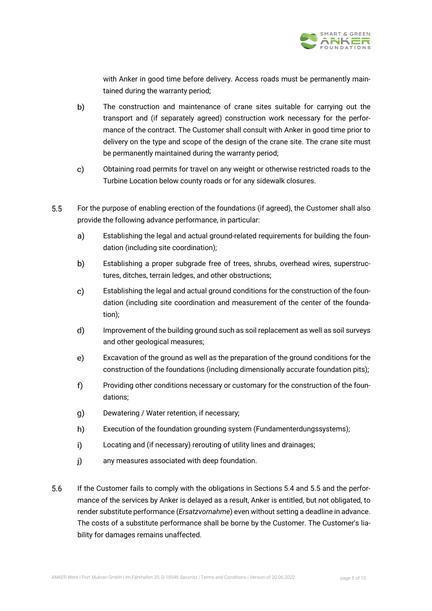

with Anker in good time before delivery. Access roads must be permanently maintained during the warranty period;

- b) The construction and maintenance of crane sites suitable for carrying out the transport and (if separately agreed) construction work necessary for the performance of the contract. The Customer shall consult with Anker in good time prior to delivery on the type and scope of the design of the crane site. The crane site must be permanently maintained during the warranty period;
- $\mathbf{c}$ Obtaining road permits for travel on any weight or otherwise restricted roads to the Turbine Location below county roads or for any sidewalk closures.
- $5.5$ For the purpose of enabling erection of the foundations (if agreed), the Customer shall also provide the following advance performance, in particular:
	- Establishing the legal and actual ground-related requirements for building the foun $a)$ dation (including site coordination);
	- $b)$ Establishing a proper subgrade free of trees, shrubs, overhead wires, superstructures, ditches, terrain ledges, and other obstructions;
	- $\mathbf{c}$ Establishing the legal and actual ground conditions for the construction of the foundation (including site coordination and measurement of the center of the foundation);
	- $\mathsf{d}$ Improvement of the building ground such as soil replacement as well as soil surveys and other geological measures;
	- $e)$ Excavation of the ground as well as the preparation of the ground conditions for the construction of the foundations (including dimensionally accurate foundation pits);
	- $f$ Providing other conditions necessary or customary for the construction of the foundations;
	- Dewatering / Water retention, if necessary;  $\mathbf{q}$
	- h) Execution of the foundation grounding system (Fundamenterdungssystems);
	- $i)$ Locating and (if necessary) rerouting of utility lines and drainages;
	- $i)$ any measures associated with deep foundation.
- 5.6 If the Customer fails to comply with the obligations in Sections 5.4 and 5.5 and the performance of the services by Anker is delayed as a result, Anker is entitled, but not obligated, to render substitute performance (*Ersatzvornahme*) even without setting a deadline in advance. The costs of a substitute performance shall be borne by the Customer. The Customer's liability for damages remains unaffected.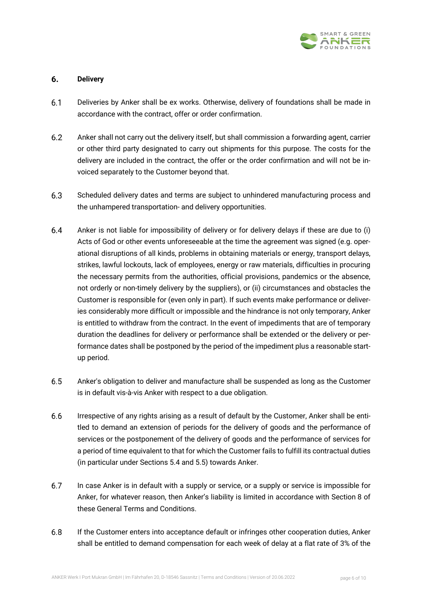

# 6. **Delivery**

- $6.1$ Deliveries by Anker shall be ex works. Otherwise, delivery of foundations shall be made in accordance with the contract, offer or order confirmation.
- $6.2$ Anker shall not carry out the delivery itself, but shall commission a forwarding agent, carrier or other third party designated to carry out shipments for this purpose. The costs for the delivery are included in the contract, the offer or the order confirmation and will not be invoiced separately to the Customer beyond that.
- $6.3$ Scheduled delivery dates and terms are subject to unhindered manufacturing process and the unhampered transportation- and delivery opportunities.
- $6.4$ Anker is not liable for impossibility of delivery or for delivery delays if these are due to (i) Acts of God or other events unforeseeable at the time the agreement was signed (e.g. operational disruptions of all kinds, problems in obtaining materials or energy, transport delays, strikes, lawful lockouts, lack of employees, energy or raw materials, difficulties in procuring the necessary permits from the authorities, official provisions, pandemics or the absence, not orderly or non-timely delivery by the suppliers), or (ii) circumstances and obstacles the Customer is responsible for (even only in part). If such events make performance or deliveries considerably more difficult or impossible and the hindrance is not only temporary, Anker is entitled to withdraw from the contract. In the event of impediments that are of temporary duration the deadlines for delivery or performance shall be extended or the delivery or performance dates shall be postponed by the period of the impediment plus a reasonable startup period.
- $6.5$ Anker's obligation to deliver and manufacture shall be suspended as long as the Customer is in default vis-à-vis Anker with respect to a due obligation.
- 6.6 Irrespective of any rights arising as a result of default by the Customer, Anker shall be entitled to demand an extension of periods for the delivery of goods and the performance of services or the postponement of the delivery of goods and the performance of services for a period of time equivalent to that for which the Customer fails to fulfill its contractual duties (in particular under Sections 5.4 and 5.5) towards Anker.
- 6.7 In case Anker is in default with a supply or service, or a supply or service is impossible for Anker, for whatever reason, then Anker's liability is limited in accordance with Section 8 of these General Terms and Conditions.
- $6.8$ If the Customer enters into acceptance default or infringes other cooperation duties, Anker shall be entitled to demand compensation for each week of delay at a flat rate of 3% of the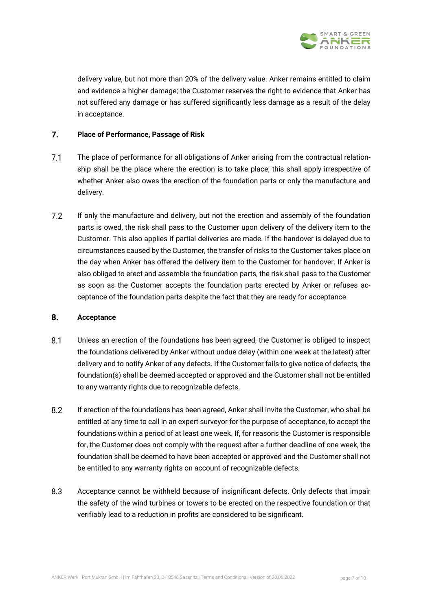

delivery value, but not more than 20% of the delivery value. Anker remains entitled to claim and evidence a higher damage; the Customer reserves the right to evidence that Anker has not suffered any damage or has suffered significantly less damage as a result of the delay in acceptance.

# $\overline{7}$ . **Place of Performance, Passage of Risk**

- $7.1$ The place of performance for all obligations of Anker arising from the contractual relationship shall be the place where the erection is to take place; this shall apply irrespective of whether Anker also owes the erection of the foundation parts or only the manufacture and delivery.
- $7.2$ If only the manufacture and delivery, but not the erection and assembly of the foundation parts is owed, the risk shall pass to the Customer upon delivery of the delivery item to the Customer. This also applies if partial deliveries are made. If the handover is delayed due to circumstances caused by the Customer, the transfer of risks to the Customer takes place on the day when Anker has offered the delivery item to the Customer for handover. If Anker is also obliged to erect and assemble the foundation parts, the risk shall pass to the Customer as soon as the Customer accepts the foundation parts erected by Anker or refuses acceptance of the foundation parts despite the fact that they are ready for acceptance.

# 8. **Acceptance**

- $8.1$ Unless an erection of the foundations has been agreed, the Customer is obliged to inspect the foundations delivered by Anker without undue delay (within one week at the latest) after delivery and to notify Anker of any defects. If the Customer fails to give notice of defects, the foundation(s) shall be deemed accepted or approved and the Customer shall not be entitled to any warranty rights due to recognizable defects.
- 8.2 If erection of the foundations has been agreed, Anker shall invite the Customer, who shall be entitled at any time to call in an expert surveyor for the purpose of acceptance, to accept the foundations within a period of at least one week. If, for reasons the Customer is responsible for, the Customer does not comply with the request after a further deadline of one week, the foundation shall be deemed to have been accepted or approved and the Customer shall not be entitled to any warranty rights on account of recognizable defects.
- $8.3$ Acceptance cannot be withheld because of insignificant defects. Only defects that impair the safety of the wind turbines or towers to be erected on the respective foundation or that verifiably lead to a reduction in profits are considered to be significant.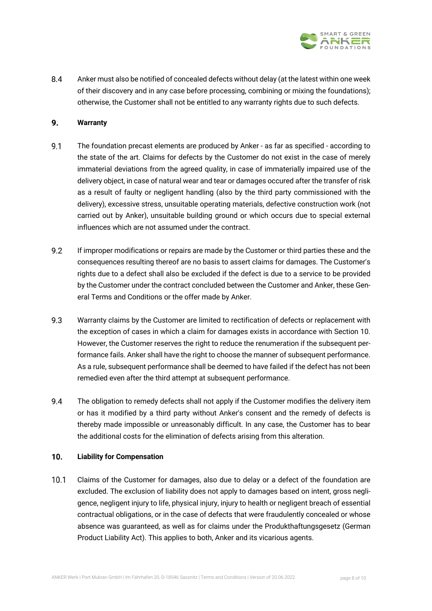

 $8.4$ Anker must also be notified of concealed defects without delay (at the latest within one week of their discovery and in any case before processing, combining or mixing the foundations); otherwise, the Customer shall not be entitled to any warranty rights due to such defects.

# 9. **Warranty**

- $9.1$ The foundation precast elements are produced by Anker - as far as specified - according to the state of the art. Claims for defects by the Customer do not exist in the case of merely immaterial deviations from the agreed quality, in case of immaterially impaired use of the delivery object, in case of natural wear and tear or damages occured after the transfer of risk as a result of faulty or negligent handling (also by the third party commissioned with the delivery), excessive stress, unsuitable operating materials, defective construction work (not carried out by Anker), unsuitable building ground or which occurs due to special external influences which are not assumed under the contract.
- $9.2$ If improper modifications or repairs are made by the Customer or third parties these and the consequences resulting thereof are no basis to assert claims for damages. The Customer's rights due to a defect shall also be excluded if the defect is due to a service to be provided by the Customer under the contract concluded between the Customer and Anker, these General Terms and Conditions or the offer made by Anker.
- $9.3$ Warranty claims by the Customer are limited to rectification of defects or replacement with the exception of cases in which a claim for damages exists in accordance with Section 10. However, the Customer reserves the right to reduce the renumeration if the subsequent performance fails. Anker shall have the right to choose the manner of subsequent performance. As a rule, subsequent performance shall be deemed to have failed if the defect has not been remedied even after the third attempt at subsequent performance.
- $9.4$ The obligation to remedy defects shall not apply if the Customer modifies the delivery item or has it modified by a third party without Anker's consent and the remedy of defects is thereby made impossible or unreasonably difficult. In any case, the Customer has to bear the additional costs for the elimination of defects arising from this alteration.

# $10.$ **Liability for Compensation**

 $10.1$ Claims of the Customer for damages, also due to delay or a defect of the foundation are excluded. The exclusion of liability does not apply to damages based on intent, gross negligence, negligent injury to life, physical injury, injury to health or negligent breach of essential contractual obligations, or in the case of defects that were fraudulently concealed or whose absence was guaranteed, as well as for claims under the Produkthaftungsgesetz (German Product Liability Act). This applies to both, Anker and its vicarious agents.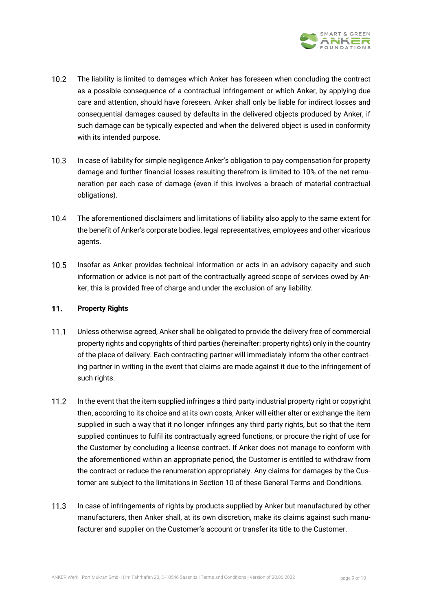

- $10.2$ The liability is limited to damages which Anker has foreseen when concluding the contract as a possible consequence of a contractual infringement or which Anker, by applying due care and attention, should have foreseen. Anker shall only be liable for indirect losses and consequential damages caused by defaults in the delivered objects produced by Anker, if such damage can be typically expected and when the delivered object is used in conformity with its intended purpose.
- $10.3$ In case of liability for simple negligence Anker's obligation to pay compensation for property damage and further financial losses resulting therefrom is limited to 10% of the net remuneration per each case of damage (even if this involves a breach of material contractual obligations).
- $10.4$ The aforementioned disclaimers and limitations of liability also apply to the same extent for the benefit of Anker's corporate bodies, legal representatives, employees and other vicarious agents.
- $10.5$ Insofar as Anker provides technical information or acts in an advisory capacity and such information or advice is not part of the contractually agreed scope of services owed by Anker, this is provided free of charge and under the exclusion of any liability.

### $11.$ **Property Rights**

- $11.1$ Unless otherwise agreed, Anker shall be obligated to provide the delivery free of commercial property rights and copyrights of third parties (hereinafter: property rights) only in the country of the place of delivery. Each contracting partner will immediately inform the other contracting partner in writing in the event that claims are made against it due to the infringement of such rights.
- $11.2$ In the event that the item supplied infringes a third party industrial property right or copyright then, according to its choice and at its own costs, Anker will either alter or exchange the item supplied in such a way that it no longer infringes any third party rights, but so that the item supplied continues to fulfil its contractually agreed functions, or procure the right of use for the Customer by concluding a license contract. If Anker does not manage to conform with the aforementioned within an appropriate period, the Customer is entitled to withdraw from the contract or reduce the renumeration appropriately. Any claims for damages by the Customer are subject to the limitations in Section 10 of these General Terms and Conditions.
- $11.3$ In case of infringements of rights by products supplied by Anker but manufactured by other manufacturers, then Anker shall, at its own discretion, make its claims against such manufacturer and supplier on the Customer's account or transfer its title to the Customer.